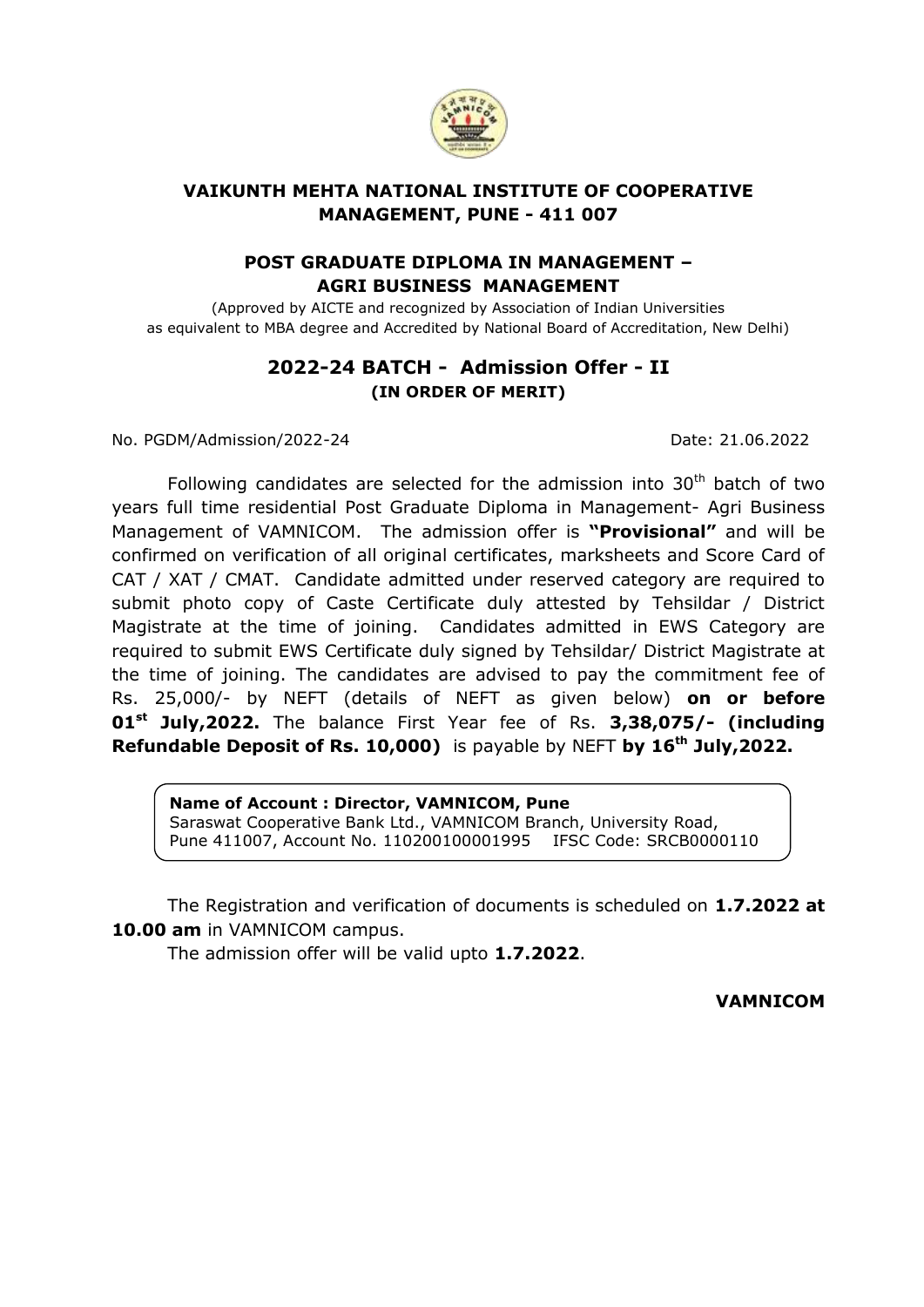

## **VAIKUNTH MEHTA NATIONAL INSTITUTE OF COOPERATIVE MANAGEMENT, PUNE - 411 007**

## **POST GRADUATE DIPLOMA IN MANAGEMENT – AGRI BUSINESS MANAGEMENT**

(Approved by AICTE and recognized by Association of Indian Universities as equivalent to MBA degree and Accredited by National Board of Accreditation, New Delhi)

## **2022-24 BATCH - Admission Offer - II (IN ORDER OF MERIT)**

No. PGDM/Admission/2022-24 Date: 21.06.2022

Following candidates are selected for the admission into  $30<sup>th</sup>$  batch of two years full time residential Post Graduate Diploma in Management- Agri Business Management of VAMNICOM. The admission offer is **"Provisional"** and will be confirmed on verification of all original certificates, marksheets and Score Card of CAT / XAT / CMAT. Candidate admitted under reserved category are required to submit photo copy of Caste Certificate duly attested by Tehsildar / District Magistrate at the time of joining. Candidates admitted in EWS Category are required to submit EWS Certificate duly signed by Tehsildar/ District Magistrate at the time of joining. The candidates are advised to pay the commitment fee of Rs. 25,000/- by NEFT (details of NEFT as given below) **on or before 01st July,2022.** The balance First Year fee of Rs. **3,38,075/- (including Refundable Deposit of Rs. 10,000)** is payable by NEFT **by 16th July,2022.**

**Name of Account : Director, VAMNICOM, Pune** Saraswat Cooperative Bank Ltd., VAMNICOM Branch, University Road, Pune 411007, Account No. 110200100001995 IFSC Code: SRCB0000110

The Registration and verification of documents is scheduled on **1.7.2022 at 10.00 am** in VAMNICOM campus.

The admission offer will be valid upto **1.7.2022**.

**VAMNICOM**